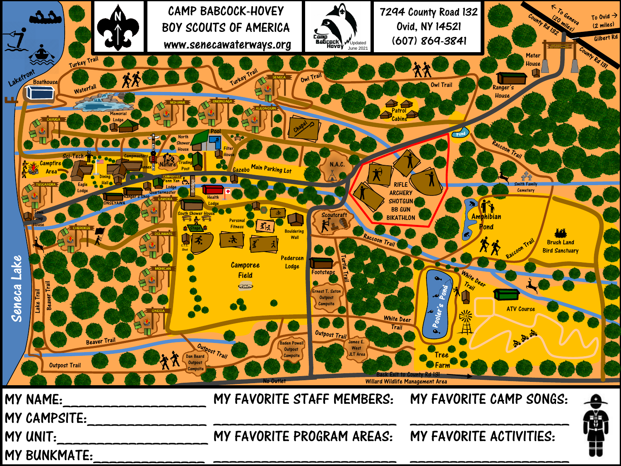